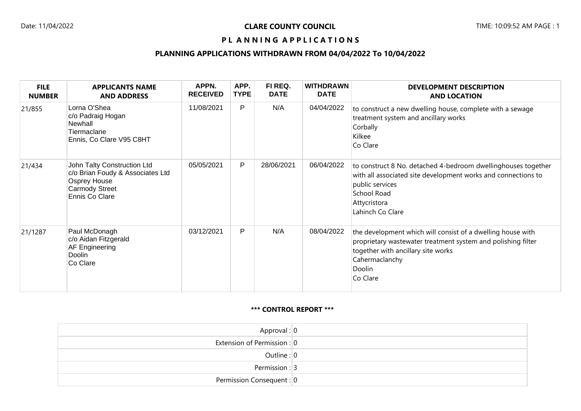### PL ANNING APPLICATIONS

# **PLANNING APPLICATIONS WITHDRAWN FROM 04/04/2022 To 10/04/2022**

| <b>FILE</b><br><b>NUMBER</b> | <b>APPLICANTS NAME</b><br><b>AND ADDRESS</b>                                                                               | APPN.<br><b>RECEIVED</b> | APP.<br><b>TYPE</b> | FI REQ.<br><b>DATE</b> | <b>WITHDRAWN</b><br><b>DATE</b> | <b>DEVELOPMENT DESCRIPTION</b><br><b>AND LOCATION</b>                                                                                                                                                     |
|------------------------------|----------------------------------------------------------------------------------------------------------------------------|--------------------------|---------------------|------------------------|---------------------------------|-----------------------------------------------------------------------------------------------------------------------------------------------------------------------------------------------------------|
| 21/855                       | Lorna O'Shea<br>c/o Padraig Hogan<br>Newhall<br>Tiermaclane<br>Ennis, Co Clare V95 C8HT                                    | 11/08/2021               | P                   | N/A                    | 04/04/2022                      | to construct a new dwelling house, complete with a sewage<br>treatment system and ancillary works<br>Corbally<br>Kilkee<br>Co Clare                                                                       |
| 21/434                       | John Talty Construction Ltd<br>c/o Brian Foudy & Associates Ltd<br>Osprey House<br><b>Carmody Street</b><br>Ennis Co Clare | 05/05/2021               | $\mathsf{P}$        | 28/06/2021             | 06/04/2022                      | to construct 8 No. detached 4-bedroom dwellinghouses together<br>with all associated site development works and connections to<br>public services<br>School Road<br>Attycristora<br>Lahinch Co Clare      |
| 21/1287                      | Paul McDonagh<br>c/o Aidan Fitzgerald<br>AF Engineering<br>Doolin<br>Co Clare                                              | 03/12/2021               | $\mathsf{P}$        | N/A                    | 08/04/2022                      | the development which will consist of a dwelling house with<br>proprietary wastewater treatment system and polishing filter<br>together with ancillary site works<br>Cahermaclanchy<br>Doolin<br>Co Clare |

#### **\*\*\* CONTROL REPORT \*\*\***

| Approval: $ 0 $             |  |
|-----------------------------|--|
| Extension of Permission : 0 |  |
| Outline : $ 0 $             |  |
| Permission : $3$            |  |
| Permission Consequent : 0   |  |